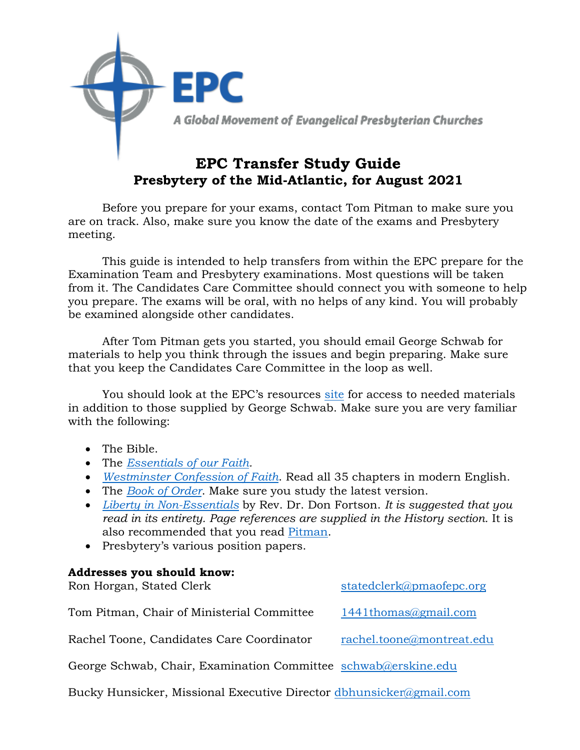

Before you prepare for your exams, contact Tom Pitman to make sure you are on track. Also, make sure you know the date of the exams and Presbytery meeting.

This guide is intended to help transfers from within the EPC prepare for the Examination Team and Presbytery examinations. Most questions will be taken from it. The Candidates Care Committee should connect you with someone to help you prepare. The exams will be oral, with no helps of any kind. You will probably be examined alongside other candidates.

After Tom Pitman gets you started, you should email George Schwab for materials to help you think through the issues and begin preparing. Make sure that you keep the Candidates Care Committee in the loop as well.

You should look at the EPC's resources [site](https://epc.org/downloads/) for access to needed materials in addition to those supplied by George Schwab. Make sure you are very familiar with the following:

- The Bible.
- The *[Essentials of our Faith.](http://epcoga.wpengine.com/wp-content/uploads/Files/1-Who-We-Are/B-About-The-EPC/TheEssentials.pdf)*
- *[Westminster Confession of Faith](http://epcoga.wpengine.com/wp-content/uploads/Files/1-Who-We-Are/B-About-The-EPC/WCF-ModernEnglish.pdf)*. Read all 35 chapters in modern English.
- The *[Book of Order](https://epc.org/wp-content/uploads/Files/4-Resources/5-Downloadable-EPC-Resources/A-Constitution-Doctrine/BookOfOrder2020-2021.pdf)*. Make sure you study the latest version.
- *[Liberty in Non-Essentials](https://epcresources.org/collections/books-and-booklets/products/liberty-in-non-essentials-the-story-of-the-evangelical-presbyterian-church)* by Rev. Dr. Don Fortson. *It is suggested that you read in its entirety. Page references are supplied in the History section.* It is also recommended that you read [Pitman.](https://www.amazon.com/Reformed-Power-Tom-Pitman-ebook/dp/B00FDJOIFG/ref=sr_1_2?ie=UTF8&qid=1518905721&sr=8-2&keywords=tom+pitman)
- Presbytery's various position papers.

### **Addresses you should know:**

| Ron Horgan, Stated Clerk                                       | statedclerk@pmaofepc.org  |
|----------------------------------------------------------------|---------------------------|
| Tom Pitman, Chair of Ministerial Committee                     | 1441thomas@gmail.com      |
| Rachel Toone, Candidates Care Coordinator                      | rachel.toone@montreat.edu |
| George Schwab, Chair, Examination Committee schwab@erskine.edu |                           |

Bucky Hunsicker, Missional Executive Director [dbhunsicker@gmail.com](mailto:dbhunsicker@gmail.com)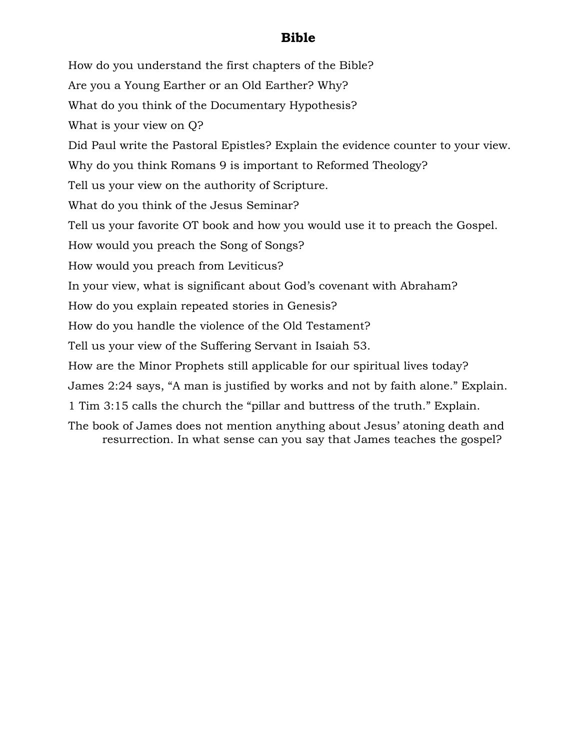## **Bible**

How do you understand the first chapters of the Bible? Are you a Young Earther or an Old Earther? Why? What do you think of the Documentary Hypothesis? What is your view on Q? Did Paul write the Pastoral Epistles? Explain the evidence counter to your view. Why do you think Romans 9 is important to Reformed Theology? Tell us your view on the authority of Scripture. What do you think of the Jesus Seminar? Tell us your favorite OT book and how you would use it to preach the Gospel. How would you preach the Song of Songs? How would you preach from Leviticus? In your view, what is significant about God's covenant with Abraham? How do you explain repeated stories in Genesis? How do you handle the violence of the Old Testament? Tell us your view of the Suffering Servant in Isaiah 53. How are the Minor Prophets still applicable for our spiritual lives today? James 2:24 says, "A man is justified by works and not by faith alone." Explain. 1 Tim 3:15 calls the church the "pillar and buttress of the truth." Explain. The book of James does not mention anything about Jesus' atoning death and resurrection. In what sense can you say that James teaches the gospel?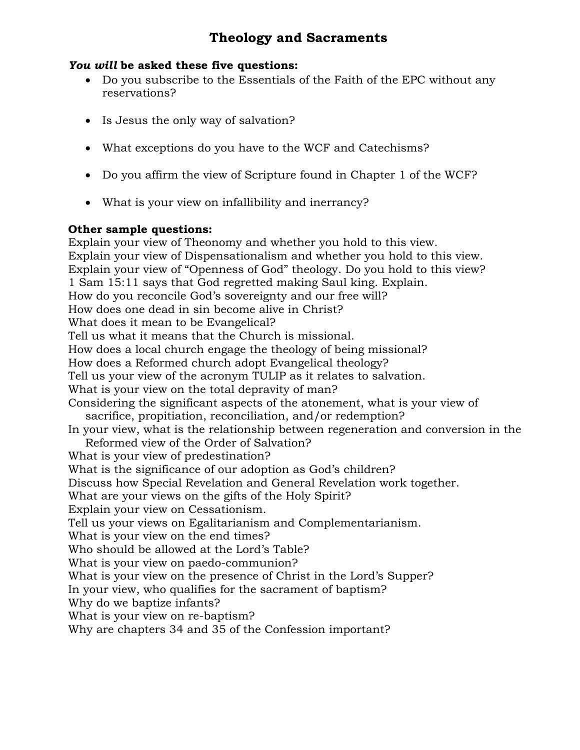# **Theology and Sacraments**

### *You will* **be asked these five questions:**

- Do you subscribe to the Essentials of the Faith of the EPC without any reservations?
- Is Jesus the only way of salvation?
- What exceptions do you have to the WCF and Catechisms?
- Do you affirm the view of Scripture found in Chapter 1 of the WCF?
- What is your view on infallibility and inerrancy?

## **Other sample questions:**

Explain your view of Theonomy and whether you hold to this view. Explain your view of Dispensationalism and whether you hold to this view. Explain your view of "Openness of God" theology. Do you hold to this view? 1 Sam 15:11 says that God regretted making Saul king. Explain. How do you reconcile God's sovereignty and our free will? How does one dead in sin become alive in Christ? What does it mean to be Evangelical? Tell us what it means that the Church is missional. How does a local church engage the theology of being missional? How does a Reformed church adopt Evangelical theology? Tell us your view of the acronym TULIP as it relates to salvation. What is your view on the total depravity of man? Considering the significant aspects of the atonement, what is your view of sacrifice, propitiation, reconciliation, and/or redemption? In your view, what is the relationship between regeneration and conversion in the Reformed view of the Order of Salvation? What is your view of predestination? What is the significance of our adoption as God's children? Discuss how Special Revelation and General Revelation work together. What are your views on the gifts of the Holy Spirit? Explain your view on Cessationism. Tell us your views on Egalitarianism and Complementarianism. What is your view on the end times? Who should be allowed at the Lord's Table? What is your view on paedo-communion? What is your view on the presence of Christ in the Lord's Supper? In your view, who qualifies for the sacrament of baptism? Why do we baptize infants? What is your view on re-baptism? Why are chapters 34 and 35 of the Confession important?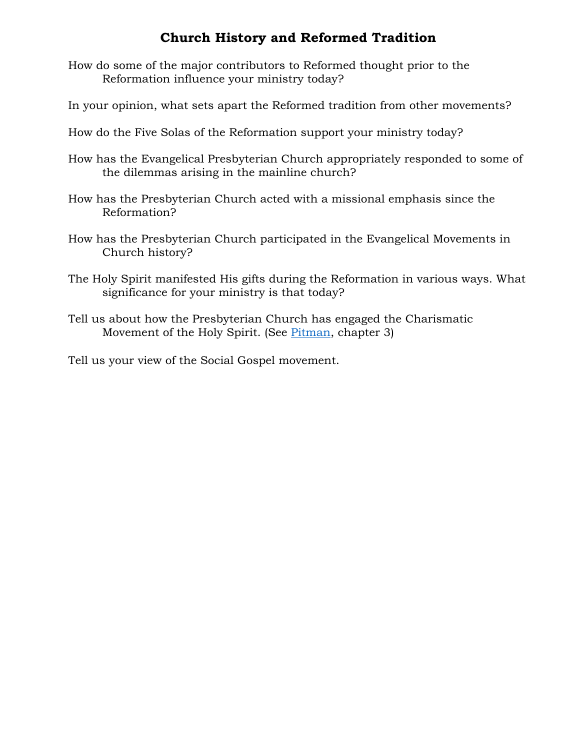# **Church History and Reformed Tradition**

- How do some of the major contributors to Reformed thought prior to the Reformation influence your ministry today?
- In your opinion, what sets apart the Reformed tradition from other movements?
- How do the Five Solas of the Reformation support your ministry today?
- How has the Evangelical Presbyterian Church appropriately responded to some of the dilemmas arising in the mainline church?
- How has the Presbyterian Church acted with a missional emphasis since the Reformation?
- How has the Presbyterian Church participated in the Evangelical Movements in Church history?
- The Holy Spirit manifested His gifts during the Reformation in various ways. What significance for your ministry is that today?
- Tell us about how the Presbyterian Church has engaged the Charismatic Movement of the Holy Spirit. (See [Pitman,](https://www.amazon.com/Reformed-Power-Tom-Pitman-ebook/dp/B00FDJOIFG/ref=sr_1_2?ie=UTF8&qid=1518905721&sr=8-2&keywords=tom+pitman) chapter 3)

Tell us your view of the Social Gospel movement.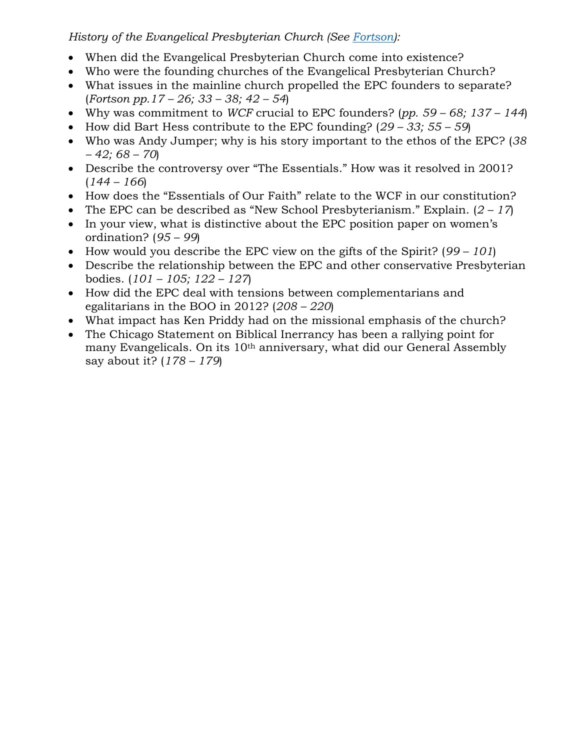## *History of the Evangelical Presbyterian Church (See [Fortson\)](https://epcresources.org/collections/books-and-booklets/products/liberty-in-non-essentials-the-story-of-the-evangelical-presbyterian-church):*

- When did the Evangelical Presbyterian Church come into existence?
- Who were the founding churches of the Evangelical Presbyterian Church?
- What issues in the mainline church propelled the EPC founders to separate? (*Fortson pp.17 – 26; 33 – 38; 42 – 54*)
- Why was commitment to *WCF* crucial to EPC founders? (*pp. 59 – 68; 137 – 144*)
- How did Bart Hess contribute to the EPC founding? (*29 – 33; 55 – 59*)
- Who was Andy Jumper; why is his story important to the ethos of the EPC? (*38 – 42; 68 – 70*)
- Describe the controversy over "The Essentials." How was it resolved in 2001?  $(144 - 166)$
- How does the "Essentials of Our Faith" relate to the WCF in our constitution?
- The EPC can be described as "New School Presbyterianism." Explain. (*2 – 17*)
- In your view, what is distinctive about the EPC position paper on women's ordination? (*95 – 99*)
- How would you describe the EPC view on the gifts of the Spirit? (*99 – 101*)
- Describe the relationship between the EPC and other conservative Presbyterian bodies. (*101 – 105; 122 – 127*)
- How did the EPC deal with tensions between complementarians and egalitarians in the BOO in 2012? (*208 – 220*)
- What impact has Ken Priddy had on the missional emphasis of the church?
- The Chicago Statement on Biblical Inerrancy has been a rallying point for many Evangelicals. On its 10th anniversary, what did our General Assembly say about it? (*178 – 179*)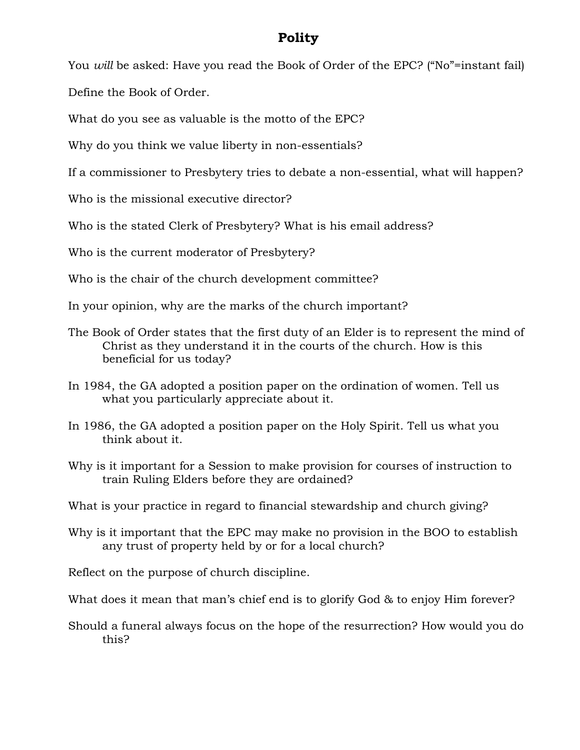## **Polity**

You *will* be asked: Have you read the Book of Order of the EPC? ("No"=instant fail)

Define the Book of Order.

What do you see as valuable is the motto of the EPC?

Why do you think we value liberty in non-essentials?

If a commissioner to Presbytery tries to debate a non-essential, what will happen?

Who is the missional executive director?

Who is the stated Clerk of Presbytery? What is his email address?

Who is the current moderator of Presbytery?

Who is the chair of the church development committee?

In your opinion, why are the marks of the church important?

- The Book of Order states that the first duty of an Elder is to represent the mind of Christ as they understand it in the courts of the church. How is this beneficial for us today?
- In 1984, the GA adopted a position paper on the ordination of women. Tell us what you particularly appreciate about it.
- In 1986, the GA adopted a position paper on the Holy Spirit. Tell us what you think about it.
- Why is it important for a Session to make provision for courses of instruction to train Ruling Elders before they are ordained?
- What is your practice in regard to financial stewardship and church giving?
- Why is it important that the EPC may make no provision in the BOO to establish any trust of property held by or for a local church?

Reflect on the purpose of church discipline.

What does it mean that man's chief end is to glorify God & to enjoy Him forever?

Should a funeral always focus on the hope of the resurrection? How would you do this?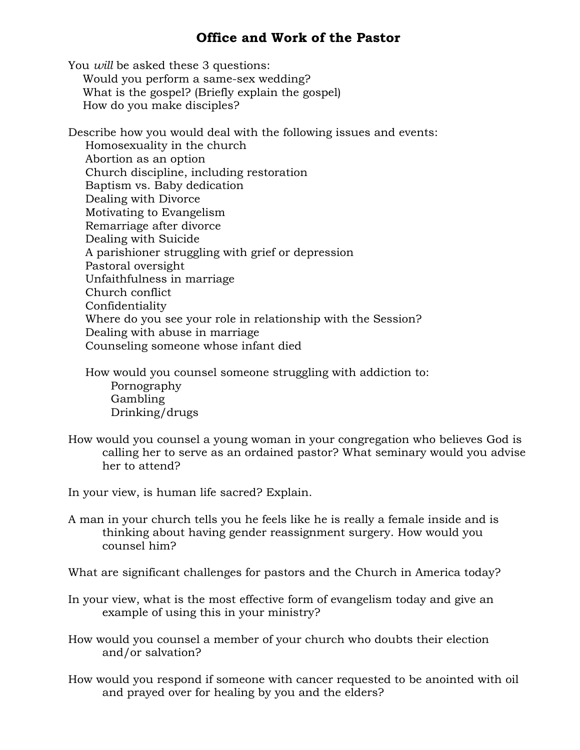## **Office and Work of the Pastor**

You *will* be asked these 3 questions: Would you perform a same-sex wedding? What is the gospel? (Briefly explain the gospel) How do you make disciples?

Describe how you would deal with the following issues and events: Homosexuality in the church Abortion as an option Church discipline, including restoration Baptism vs. Baby dedication Dealing with Divorce Motivating to Evangelism Remarriage after divorce Dealing with Suicide A parishioner struggling with grief or depression Pastoral oversight Unfaithfulness in marriage Church conflict Confidentiality Where do you see your role in relationship with the Session? Dealing with abuse in marriage Counseling someone whose infant died

How would you counsel someone struggling with addiction to: Pornography Gambling Drinking/drugs

How would you counsel a young woman in your congregation who believes God is calling her to serve as an ordained pastor? What seminary would you advise her to attend?

In your view, is human life sacred? Explain.

A man in your church tells you he feels like he is really a female inside and is thinking about having gender reassignment surgery. How would you counsel him?

What are significant challenges for pastors and the Church in America today?

In your view, what is the most effective form of evangelism today and give an example of using this in your ministry?

How would you counsel a member of your church who doubts their election and/or salvation?

How would you respond if someone with cancer requested to be anointed with oil and prayed over for healing by you and the elders?